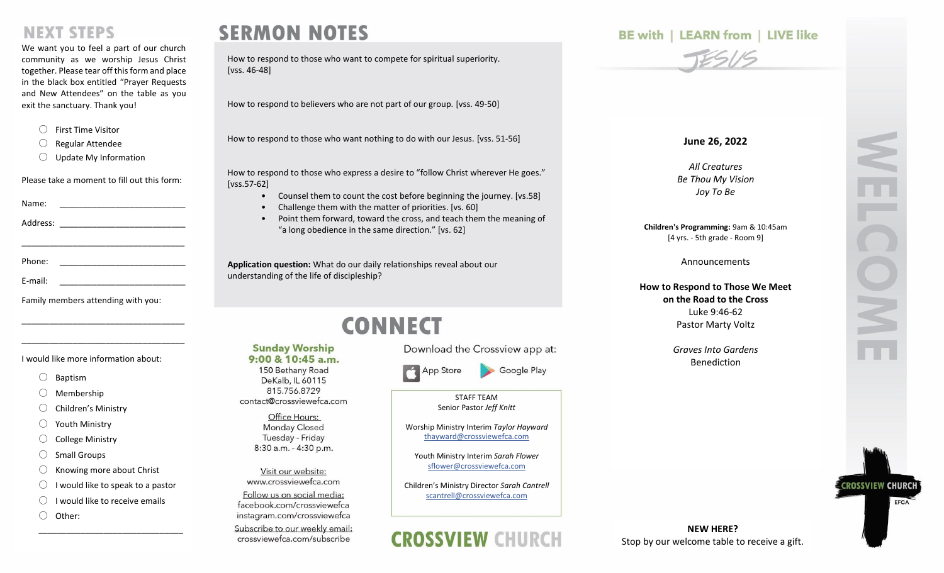## **NEXT STEPS**

We want you to feel a part of our church community as we worship Jesus Christ together. Please tear off this form and place in the black box entitled "Prayer Requests and New Attendees" on the table as you exit the sanctuary. Thank you!

- 〇 First Time Visitor
- 〇 Regular Attendee
- 〇 Update My Information

Please take a moment to fill out this form:

\_\_\_\_\_\_\_\_\_\_\_\_\_\_\_\_\_\_\_\_\_\_\_\_\_\_\_\_\_\_\_\_\_\_\_

\_\_\_\_\_\_\_\_\_\_\_\_\_\_\_\_\_\_\_\_\_\_\_\_\_\_\_\_\_\_\_\_\_\_\_

\_\_\_\_\_\_\_\_\_\_\_\_\_\_\_\_\_\_\_\_\_\_\_\_\_\_\_\_\_\_\_\_\_\_\_

| Name: |  |
|-------|--|
|-------|--|

Address: \_\_\_\_\_\_\_\_\_\_\_\_\_\_\_\_\_\_\_\_\_\_\_\_\_\_\_

| E-mail: |  |  |  |  |
|---------|--|--|--|--|
|         |  |  |  |  |

Family members attending with you:

I would like more information about:

- 〇 Baptism
- Membership
- 〇 Children's Ministry
- 〇 Youth Ministry
- **College Ministry**
- Small Groups
- $\bigcirc$  Knowing more about Christ
- $\bigcirc$  I would like to speak to a pastor

\_\_\_\_\_\_\_\_\_\_\_\_\_\_\_\_\_\_\_\_\_\_\_\_\_\_\_\_\_\_\_

- $\bigcirc$  I would like to receive emails
- 〇 Other:

# **SERMON NOTES**

**Sunday Worship** 

9:00 & 10:45 a.m.

150 Bethany Road

DeKalb, IL 60115 815.756.8729 contact@crossviewefca.com Office Hours: **Monday Closed** Tuesday - Friday 8:30 a.m. - 4:30 p.m.

Visit our website: www.crossviewefca.com

Follow us on social media:

facebook.com/crossviewefca instagram.com/crossviewefca Subscribe to our weekly email:

crossviewefca.com/subscribe

How to respond to those who want to compete for spiritual superiority. [vss. 46-48]

How to respond to believers who are not part of our group. [vss. 49-50]

How to respond to those who want nothing to do with our Jesus. [vss. 51-56]

How to respond to those who express a desire to "follow Christ wherever He goes." [vss.57-62]

- Counsel them to count the cost before beginning the journey. [vs.58]
- Challenge them with the matter of priorities. [vs. 60]
- Point them forward, toward the cross, and teach them the meaning of "a long obedience in the same direction." [vs. 62]

**Application question:** What do our daily relationships reveal about our understanding of the life of discipleship?

# **CONNECT**

Download the Crossview app at:

App Store

STAFF TEAM

Google Play

Senior Pastor *Jeff Knitt*

Worship Ministry Interim *Taylor Hayward* [thayward@crossviewefca.com](mailto:svolz@crossviewefca.com)

Youth Ministry Interim *Sarah Flower* [sflower@crossviewefca.com](mailto:sflower@crossviewefca.com)

Children's Ministry Director *Sarah Cantrell* [scantrell@crossviewefca.com](mailto:scantrell@crossviewefca.com)



### **BE with | LEARN from | LIVE like**



#### **June 26, 2022**

*All Creatures Be Thou My Vision Joy To Be*

**Children's Programming:** 9am & 10:45am [4 yrs. - 5th grade - Room 9]

Announcements

**How to Respond to Those We Meet on the Road to the Cross** Luke 9:46-62 Pastor Marty Voltz

> *Graves Into Gardens* Benediction

**CROSSVIEW CHURO** 

EFCA

**NEW HERE?** Stop by our welcome table to receive a gift.